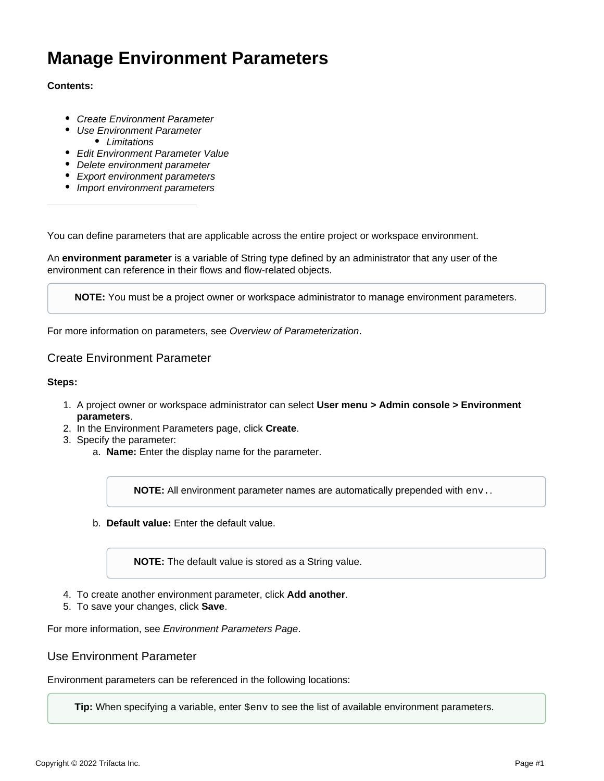# **Manage Environment Parameters**

## **Contents:**

- [Create Environment Parameter](#page-0-0)
- [Use Environment Parameter](#page-0-1) • [Limitations](#page-1-0)
- [Edit Environment Parameter Value](#page-1-1)
- [Delete environment parameter](#page-1-2)
- [Export environment parameters](#page-1-3)
- [Import environment parameters](#page-2-0)

You can define parameters that are applicable across the entire project or workspace environment.

An **environment parameter** is a variable of String type defined by an administrator that any user of the environment can reference in their flows and flow-related objects.

**NOTE:** You must be a project owner or workspace administrator to manage environment parameters.

For more information on parameters, see [Overview of Parameterization](https://docs.trifacta.com/display/r087/Overview+of+Parameterization).

# <span id="page-0-0"></span>Create Environment Parameter

#### **Steps:**

- 1. A project owner or workspace administrator can select **User menu > Admin console > Environment parameters**.
- 2. In the Environment Parameters page, click **Create**.
- 3. Specify the parameter:
	- a. **Name:** Enter the display name for the parameter.

**NOTE:** All environment parameter names are automatically prepended with env..

b. **Default value:** Enter the default value.

**NOTE:** The default value is stored as a String value.

- 4. To create another environment parameter, click **Add another**.
- 5. To save your changes, click **Save**.

For more information, see [Environment Parameters Page](https://docs.trifacta.com/display/r087/Environment+Parameters+Page).

<span id="page-0-1"></span>Use Environment Parameter

Environment parameters can be referenced in the following locations:

**Tip:** When specifying a variable, enter  $\frac{1}{2}$  env to see the list of available environment parameters.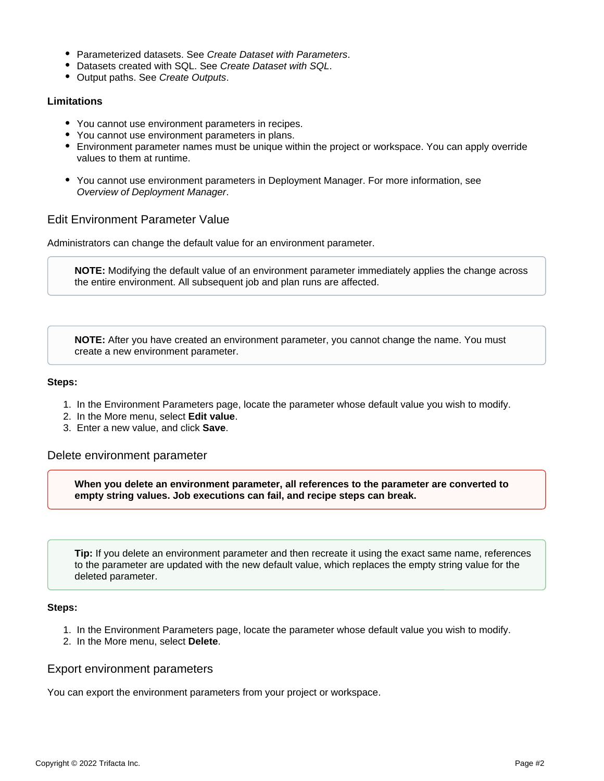- Parameterized datasets. See [Create Dataset with Parameters](https://docs.trifacta.com/display/r087/Create+Dataset+with+Parameters).
- Datasets created with SQL. See [Create Dataset with SQL](https://docs.trifacta.com/display/r087/Create+Dataset+with+SQL).
- Output paths. See [Create Outputs](https://docs.trifacta.com/display/r087/Create+Outputs).

## <span id="page-1-0"></span>**Limitations**

- You cannot use environment parameters in recipes.
- You cannot use environment parameters in plans.
- Environment parameter names must be unique within the project or workspace. You can apply override values to them at runtime.
- You cannot use environment parameters in Deployment Manager. For more information, see [Overview of Deployment Manager](https://docs.trifacta.com/display/r087/Overview+of+Deployment+Manager).

# <span id="page-1-1"></span>Edit Environment Parameter Value

Administrators can change the default value for an environment parameter.

**NOTE:** Modifying the default value of an environment parameter immediately applies the change across the entire environment. All subsequent job and plan runs are affected.

**NOTE:** After you have created an environment parameter, you cannot change the name. You must create a new environment parameter.

## **Steps:**

- 1. In the Environment Parameters page, locate the parameter whose default value you wish to modify.
- 2. In the More menu, select **Edit value**.
- 3. Enter a new value, and click **Save**.

<span id="page-1-2"></span>Delete environment parameter

**When you delete an environment parameter, all references to the parameter are converted to empty string values. Job executions can fail, and recipe steps can break.**

**Tip:** If you delete an environment parameter and then recreate it using the exact same name, references to the parameter are updated with the new default value, which replaces the empty string value for the deleted parameter.

### **Steps:**

- 1. In the Environment Parameters page, locate the parameter whose default value you wish to modify.
- 2. In the More menu, select **Delete**.

# <span id="page-1-3"></span>Export environment parameters

You can export the environment parameters from your project or workspace.